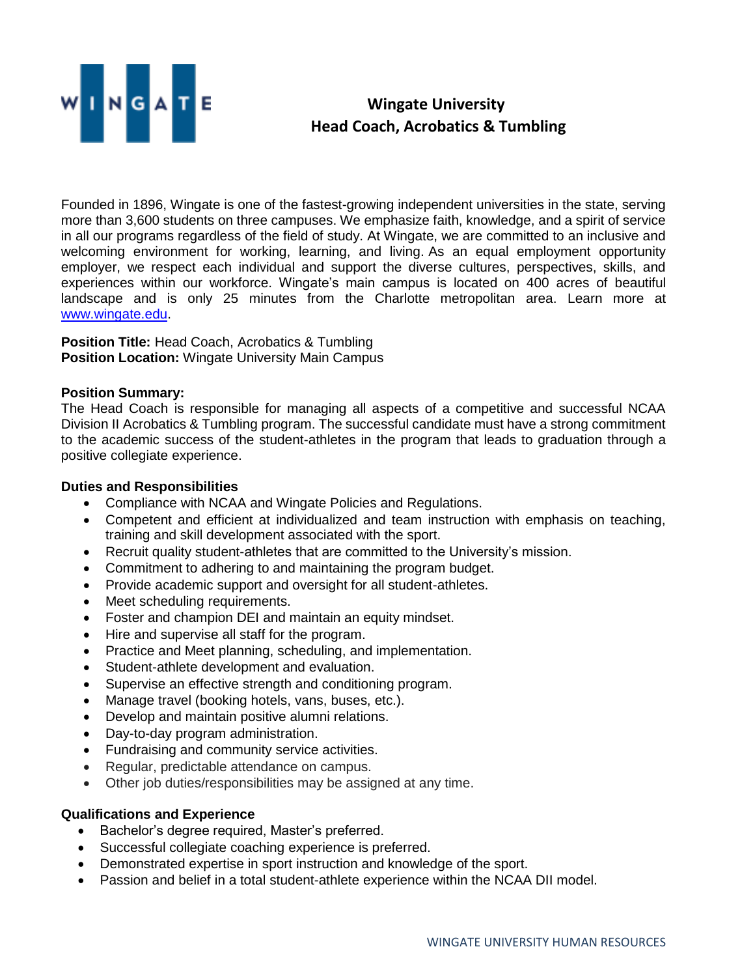

## **Wingate University Head Coach, Acrobatics & Tumbling**

Founded in 1896, Wingate is one of the fastest-growing independent universities in the state, serving more than 3,600 students on three campuses. We emphasize faith, knowledge, and a spirit of service in all our programs regardless of the field of study. At Wingate, we are committed to an inclusive and welcoming environment for working, learning, and living. As an equal employment opportunity employer, we respect each individual and support the diverse cultures, perspectives, skills, and experiences within our workforce. Wingate's main campus is located on 400 acres of beautiful landscape and is only 25 minutes from the Charlotte metropolitan area. Learn more at [www.wingate.edu.](http://www.wingate/edu)

**Position Title:** Head Coach, Acrobatics & Tumbling **Position Location: Wingate University Main Campus** 

## **Position Summary:**

The Head Coach is responsible for managing all aspects of a competitive and successful NCAA Division II Acrobatics & Tumbling program. The successful candidate must have a strong commitment to the academic success of the student-athletes in the program that leads to graduation through a positive collegiate experience.

## **Duties and Responsibilities**

- Compliance with NCAA and Wingate Policies and Regulations.
- Competent and efficient at individualized and team instruction with emphasis on teaching, training and skill development associated with the sport.
- Recruit quality student-athletes that are committed to the University's mission.
- Commitment to adhering to and maintaining the program budget.
- Provide academic support and oversight for all student-athletes.
- Meet scheduling requirements.
- Foster and champion DEI and maintain an equity mindset.
- Hire and supervise all staff for the program.
- Practice and Meet planning, scheduling, and implementation.
- Student-athlete development and evaluation.
- Supervise an effective strength and conditioning program.
- Manage travel (booking hotels, vans, buses, etc.).
- Develop and maintain positive alumni relations.
- Day-to-day program administration.
- Fundraising and community service activities.
- Regular, predictable attendance on campus.
- Other job duties/responsibilities may be assigned at any time.

## **Qualifications and Experience**

- Bachelor's degree required, Master's preferred.
- Successful collegiate coaching experience is preferred.
- Demonstrated expertise in sport instruction and knowledge of the sport.
- Passion and belief in a total student-athlete experience within the NCAA DII model.